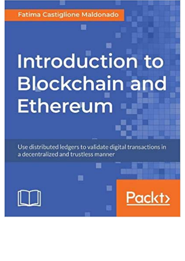**Fatima Castiglione Maldonado** 

## Introduction to **Blockchain and** Ethereum

Use distributed ledgers to validate digital transactions in a decentralized and trustless manner



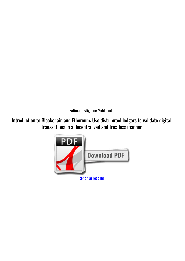*Fatima Castiglione Maldonado*

**Introduction to Blockchain and Ethereum: Use distributed ledgers to validate digital transactions in a decentralized and trustless manner**

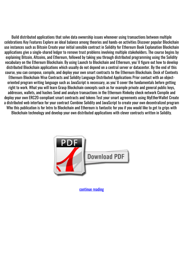Build distributed applications that solve data ownership issues whenever using transactions between multiple celebrations Key Features Explore an ideal balance among theories and hands-on activities Discover popular Blockchain use instances such as Bitcoin Create your initial sensible contract in Solidity for Ethereum Book Explanation Blockchain applications give a single-shared ledger to remove trust problems involving multiple stakeholders. The course begins by explaining Bitcoin, Altcoins, and Ethereum, followed by taking you through distributed programming using the Solidity vocabulary on the Ethereum Blockchain. By using Launch to Blockchain and Ethereum, you'll figure out how to develop distributed Blockchain applications which usually do not depend on a central server or datacenter. By the end of this course, you can compose, compile, and deploy your own smart contracts to the Ethereum Blockchain. Desk of Contents Ethereum Blockchain Wise Contracts and Solidity Language Distributed Applications Prior contact with an objectoriented program writing language such as JavaScript is necessary, as you'll cover the fundamentals before getting right to work. What you will learn Grasp Blockchain concepts such as for example private and general public keys, addresses, wallets, and hashes Send and analyze transactions in the Ethereum Rinkeby check network Compile and deploy your own ERC20-compliant smart contracts and tokens Test your smart agreements using MyEtherWallet Create a distributed web interface for your contract Combine Solidity and JavaScript to create your own decentralized program Who this publication is for Intro to Blockchain and Ethereum is fantastic for you if you would like to get to grips with Blockchain technology and develop your own distributed applications with clever contracts written in Solidity.



[continue reading](http://bit.ly/2Tge8Fv)